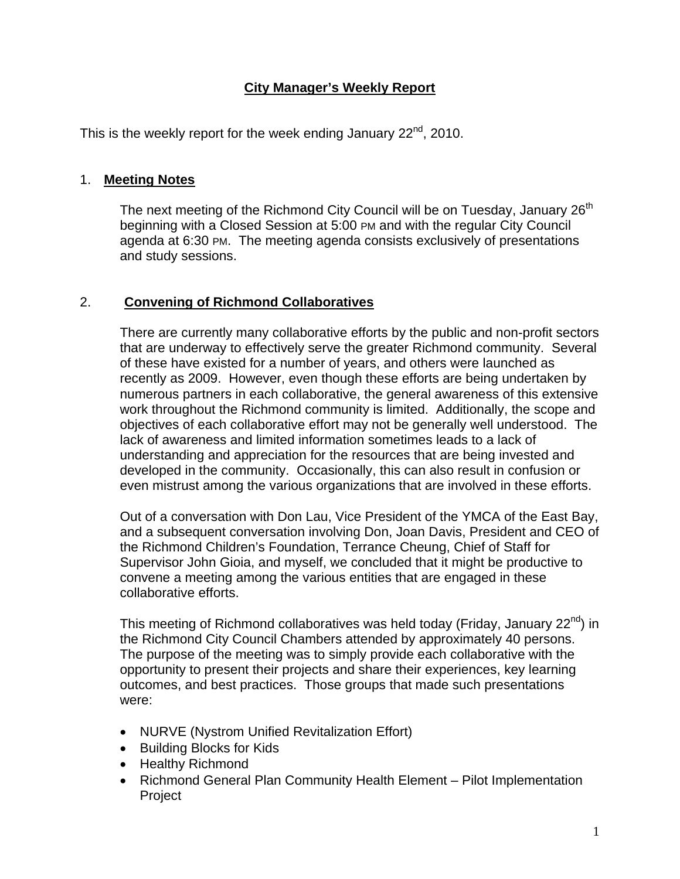## **City Manager's Weekly Report**

This is the weekly report for the week ending January  $22^{nd}$ , 2010.

#### 1. **Meeting Notes**

The next meeting of the Richmond City Council will be on Tuesday, January  $26<sup>th</sup>$ beginning with a Closed Session at 5:00 PM and with the regular City Council agenda at 6:30 PM. The meeting agenda consists exclusively of presentations and study sessions.

#### 2. **Convening of Richmond Collaboratives**

There are currently many collaborative efforts by the public and non-profit sectors that are underway to effectively serve the greater Richmond community. Several of these have existed for a number of years, and others were launched as recently as 2009. However, even though these efforts are being undertaken by numerous partners in each collaborative, the general awareness of this extensive work throughout the Richmond community is limited. Additionally, the scope and objectives of each collaborative effort may not be generally well understood. The lack of awareness and limited information sometimes leads to a lack of understanding and appreciation for the resources that are being invested and developed in the community. Occasionally, this can also result in confusion or even mistrust among the various organizations that are involved in these efforts.

Out of a conversation with Don Lau, Vice President of the YMCA of the East Bay, and a subsequent conversation involving Don, Joan Davis, President and CEO of the Richmond Children's Foundation, Terrance Cheung, Chief of Staff for Supervisor John Gioia, and myself, we concluded that it might be productive to convene a meeting among the various entities that are engaged in these collaborative efforts.

This meeting of Richmond collaboratives was held today (Friday, January 22<sup>nd</sup>) in the Richmond City Council Chambers attended by approximately 40 persons. The purpose of the meeting was to simply provide each collaborative with the opportunity to present their projects and share their experiences, key learning outcomes, and best practices. Those groups that made such presentations were:

- NURVE (Nystrom Unified Revitalization Effort)
- Building Blocks for Kids
- Healthy Richmond
- Richmond General Plan Community Health Element Pilot Implementation Project